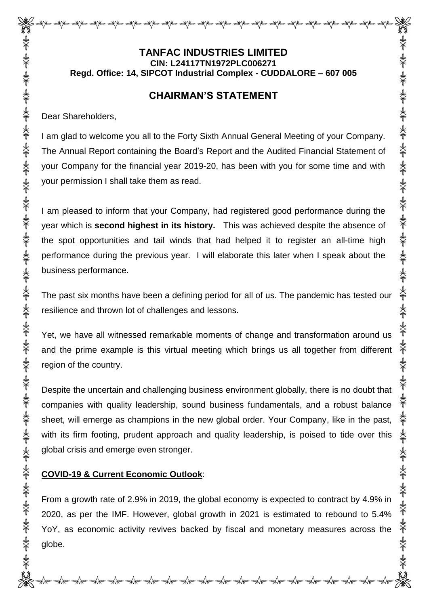# **TANFAC INDUSTRIES LIMITED CIN: L24117TN1972PLC006271 Regd. Office: 14, SIPCOT Industrial Complex - CUDDALORE – 607 005**

## **CHAIRMAN'S STATEMENT**

Dear Shareholders,

I am glad to welcome you all to the Forty Sixth Annual General Meeting of your Company. The Annual Report containing the Board's Report and the Audited Financial Statement of your Company for the financial year 2019-20, has been with you for some time and with your permission I shall take them as read.

**头不上头下头不上头下头,头下头一头,头下头下头,头下头,头下头,头下** 

米 美

☀

☀

\*\*

**美术 美术 美术 美术 美术 美术** 

I am pleased to inform that your Company, had registered good performance during the year which is **second highest in its history.** This was achieved despite the absence of the spot opportunities and tail winds that had helped it to register an all-time high performance during the previous year. I will elaborate this later when I speak about the business performance.

The past six months have been a defining period for all of us. The pandemic has tested our resilience and thrown lot of challenges and lessons.

Yet, we have all witnessed remarkable moments of change and transformation around us and the prime example is this virtual meeting which brings us all together from different region of the country.

Despite the uncertain and challenging business environment globally, there is no doubt that companies with quality leadership, sound business fundamentals, and a robust balance sheet, will emerge as champions in the new global order. Your Company, like in the past, with its firm footing, prudent approach and quality leadership, is poised to tide over this global crisis and emerge even stronger.

## **COVID-19 & Current Economic Outlook**:

From a growth rate of 2.9% in 2019, the global economy is expected to contract by 4.9% in 2020, as per the IMF. However, global growth in 2021 is estimated to rebound to 5.4% YoY, as economic activity revives backed by fiscal and monetary measures across the globe.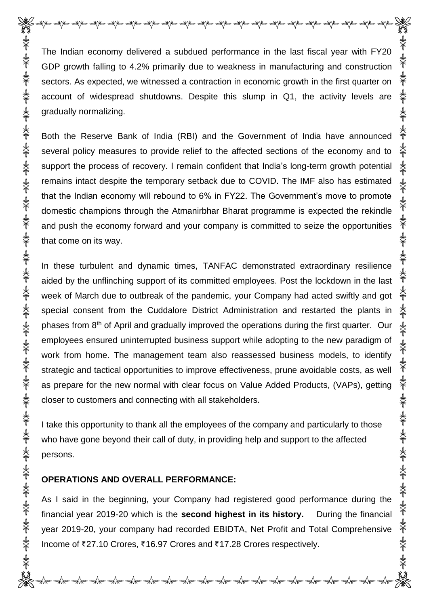The Indian economy delivered a subdued performance in the last fiscal year with FY20 GDP growth falling to 4.2% primarily due to weakness in manufacturing and construction sectors. As expected, we witnessed a contraction in economic growth in the first quarter on account of widespread shutdowns. Despite this slump in Q1, the activity levels are gradually normalizing.

Both the Reserve Bank of India (RBI) and the Government of India have announced several policy measures to provide relief to the affected sections of the economy and to support the process of recovery. I remain confident that India's long-term growth potential remains intact despite the temporary setback due to COVID. The IMF also has estimated that the Indian economy will rebound to 6% in FY22. The Government's move to promote domestic champions through the Atmanirbhar Bharat programme is expected the rekindle and push the economy forward and your company is committed to seize the opportunities that come on its way.

In these turbulent and dynamic times, TANFAC demonstrated extraordinary resilience aided by the unflinching support of its committed employees. Post the lockdown in the last week of March due to outbreak of the pandemic, your Company had acted swiftly and got special consent from the Cuddalore District Administration and restarted the plants in phases from 8<sup>th</sup> of April and gradually improved the operations during the first quarter. Our employees ensured uninterrupted business support while adopting to the new paradigm of work from home. The management team also reassessed business models, to identify strategic and tactical opportunities to improve effectiveness, prune avoidable costs, as well as prepare for the new normal with clear focus on Value Added Products, (VAPs), getting closer to customers and connecting with all stakeholders.

I take this opportunity to thank all the employees of the company and particularly to those who have gone beyond their call of duty, in providing help and support to the affected persons.

#### **OPERATIONS AND OVERALL PERFORMANCE:**

As I said in the beginning, your Company had registered good performance during the financial year 2019-20 which is the **second highest in its history.** During the financial year 2019-20, your company had recorded EBIDTA, Net Profit and Total Comprehensive Income of ₹27.10 Crores, ₹16.97 Crores and ₹17.28 Crores respectively.

≪∕ की की की की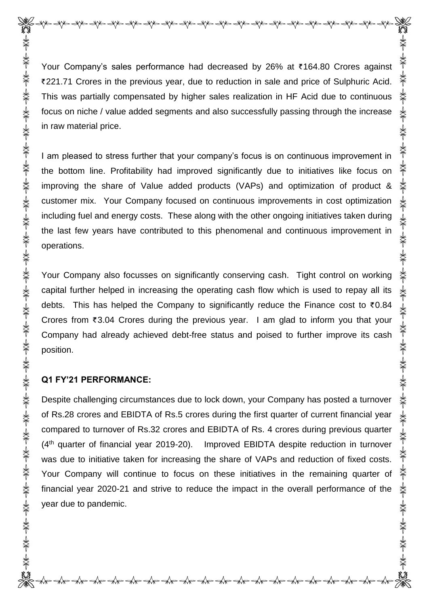Your Company's sales performance had decreased by 26% at ₹164.80 Crores against 221.71 Crores in the previous year, due to reduction in sale and price of Sulphuric Acid. This was partially compensated by higher sales realization in HF Acid due to continuous focus on niche / value added segments and also successfully passing through the increase in raw material price.

I am pleased to stress further that your company's focus is on continuous improvement in the bottom line. Profitability had improved significantly due to initiatives like focus on improving the share of Value added products (VAPs) and optimization of product & customer mix. Your Company focused on continuous improvements in cost optimization including fuel and energy costs. These along with the other ongoing initiatives taken during the last few years have contributed to this phenomenal and continuous improvement in operations.

Your Company also focusses on significantly conserving cash. Tight control on working capital further helped in increasing the operating cash flow which is used to repay all its debts. This has helped the Company to significantly reduce the Finance cost to  $\bar{\tau}$ 0.84 Crores from  $\overline{\epsilon}$ 3.04 Crores during the previous year. I am glad to inform you that your Company had already achieved debt-free status and poised to further improve its cash position.

#### **Q1 FY'21 PERFORMANCE:**

Despite challenging circumstances due to lock down, your Company has posted a turnover of Rs.28 crores and EBIDTA of Rs.5 crores during the first quarter of current financial year compared to turnover of Rs.32 crores and EBIDTA of Rs. 4 crores during previous quarter  $(4<sup>th</sup>$  quarter of financial year 2019-20). Improved EBIDTA despite reduction in turnover was due to initiative taken for increasing the share of VAPs and reduction of fixed costs. Your Company will continue to focus on these initiatives in the remaining quarter of financial year 2020-21 and strive to reduce the impact in the overall performance of the year due to pandemic.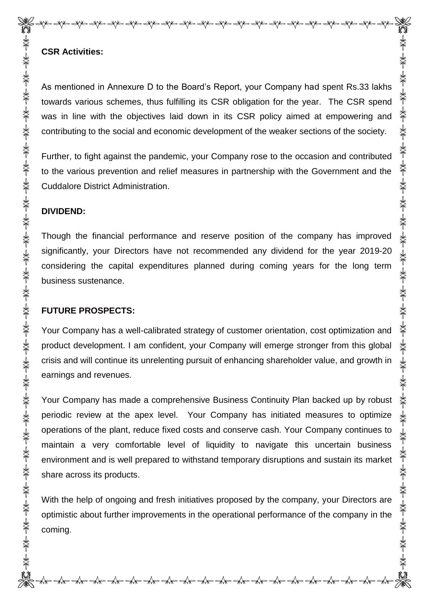### **CSR Activities:**

As mentioned in Annexure D to the Board's Report, your Company had spent Rs.33 lakhs towards various schemes, thus fulfilling its CSR obligation for the year. The CSR spend was in line with the objectives laid down in its CSR policy aimed at empowering and contributing to the social and economic development of the weaker sections of the society.

Further, to fight against the pandemic, your Company rose to the occasion and contributed to the various prevention and relief measures in partnership with the Government and the Cuddalore District Administration.

#### **DIVIDEND:**

Though the financial performance and reserve position of the company has improved significantly, your Directors have not recommended any dividend for the year 2019-20 considering the capital expenditures planned during coming years for the long term business sustenance.

### **FUTURE PROSPECTS:**

Your Company has a well-calibrated strategy of customer orientation, cost optimization and product development. I am confident, your Company will emerge stronger from this global crisis and will continue its unrelenting pursuit of enhancing shareholder value, and growth in earnings and revenues.

Your Company has made a comprehensive Business Continuity Plan backed up by robust periodic review at the apex level. Your Company has initiated measures to optimize operations of the plant, reduce fixed costs and conserve cash. Your Company continues to maintain a very comfortable level of liquidity to navigate this uncertain business environment and is well prepared to withstand temporary disruptions and sustain its market share across its products.

With the help of ongoing and fresh initiatives proposed by the company, your Directors are optimistic about further improvements in the operational performance of the company in the coming.